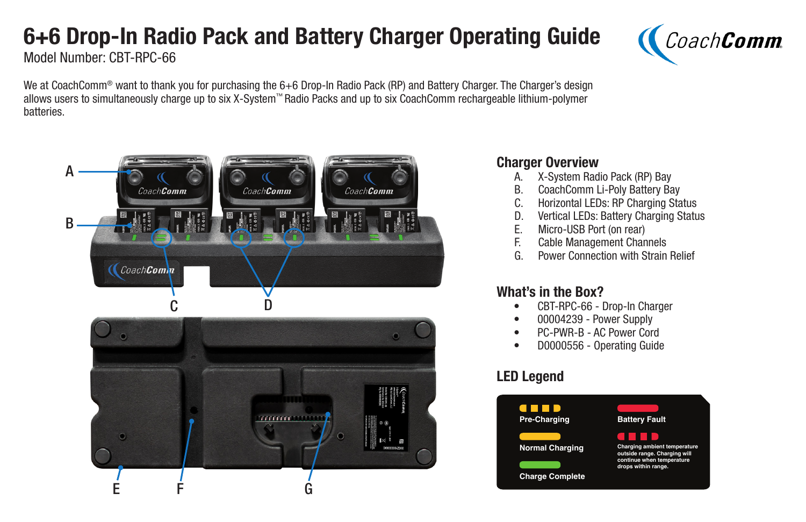# 6+6 Drop-In Radio Pack and Battery Charger Operating Guide



Model Number: CBT-RPC-66

We at CoachComm® want to thank you for purchasing the 6+6 Drop-In Radio Pack (RP) and Battery Charger. The Charger's design allows users to simultaneously charge up to six X-System™ Radio Packs and up to six CoachComm rechargeable lithium-polymer batteries.



#### Charger Overview

- A. X-System Radio Pack (RP) Bay
- B. CoachComm Li-Poly Battery Bay
- C. Horizontal LEDs: RP Charging Status
- D. Vertical LEDs: Battery Charging Status<br>E. Micro-USB Port (on rear)
- Micro-USB Port (on rear)
- F. Cable Management Channels
- G. Power Connection with Strain Relief

## What's in the Box?

- CBT-RPC-66 Drop-In Charger
- 00004239 Power Supply
- PC-PWR-B AC Power Cord
- D0000556 Operating Guide

# LED Legend